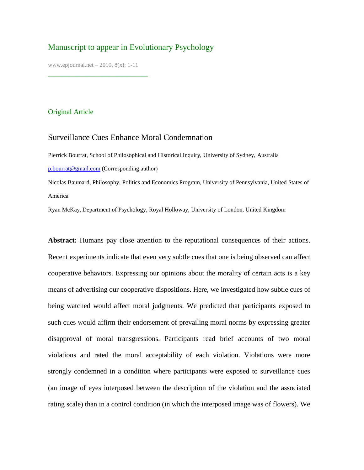# Manuscript to appear in Evolutionary Psychology

www.epjournal.net – 2010. 8(x): 1-11

¯¯¯¯¯¯¯¯¯¯¯¯¯¯¯¯¯¯¯¯¯¯¯¯¯¯¯¯

## Original Article

## Surveillance Cues Enhance Moral Condemnation

Pierrick Bourrat, School of Philosophical and Historical Inquiry, University of Sydney, Australia [p.bourrat@gmail.com](mailto:p.bourrat@gmail.com) (Corresponding author)

Nicolas Baumard, Philosophy, Politics and Economics Program, University of Pennsylvania, United States of America

Ryan McKay, Department of Psychology, Royal Holloway, University of London, United Kingdom

**Abstract:** Humans pay close attention to the reputational consequences of their actions. Recent experiments indicate that even very subtle cues that one is being observed can affect cooperative behaviors. Expressing our opinions about the morality of certain acts is a key means of advertising our cooperative dispositions. Here, we investigated how subtle cues of being watched would affect moral judgments. We predicted that participants exposed to such cues would affirm their endorsement of prevailing moral norms by expressing greater disapproval of moral transgressions. Participants read brief accounts of two moral violations and rated the moral acceptability of each violation. Violations were more strongly condemned in a condition where participants were exposed to surveillance cues (an image of eyes interposed between the description of the violation and the associated rating scale) than in a control condition (in which the interposed image was of flowers). We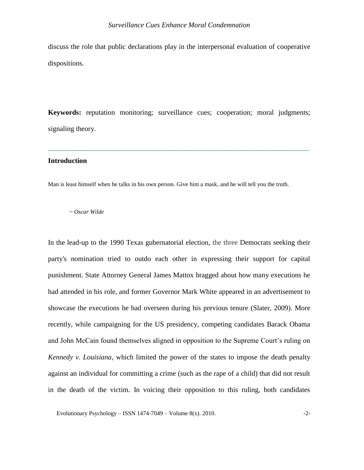discuss the role that public declarations play in the interpersonal evaluation of cooperative dispositions.

**Keywords:** reputation monitoring; surveillance cues; cooperation; moral judgments; signaling theory.

# **¯¯¯¯¯¯¯¯¯¯¯¯¯¯¯¯¯¯¯¯¯¯¯¯¯¯¯¯¯¯¯¯¯¯¯¯¯¯¯¯¯¯¯¯¯¯¯¯¯¯¯¯¯¯¯¯¯¯¯¯¯¯¯¯¯¯¯¯¯¯¯¯¯¯¯¯¯¯¯¯¯¯¯¯¯¯¯¯ Introduction**

Man is least himself when he talks in his own person. Give him a mask, and he will tell you the truth.

*~ Oscar Wilde*

In the lead-up to the 1990 Texas gubernatorial election, the three Democrats seeking their party's nomination tried to outdo each other in expressing their support for capital punishment. State Attorney General James Mattox bragged about how many executions he had attended in his role, and former Governor Mark White appeared in an advertisement to showcase the executions he had overseen during his previous tenure (Slater, 2009). More recently, while campaigning for the US presidency, competing candidates Barack Obama and John McCain found themselves aligned in opposition to the Supreme Court's ruling on *Kennedy v. Louisiana*, which limited the power of the states to impose the death penalty against an individual for committing a crime (such as the rape of a child) that did not result in the death of the victim. In voicing their opposition to this ruling, both candidates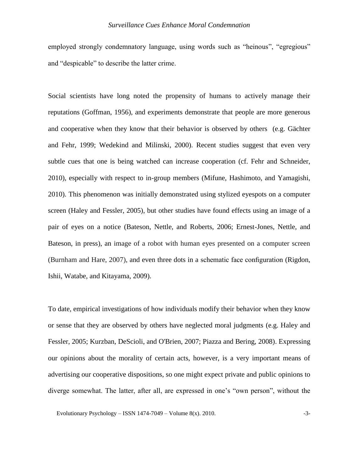#### *Surveillance Cues Enhance Moral Condemnation*

employed strongly condemnatory language, using words such as "heinous", "egregious" and "despicable" to describe the latter crime.

Social scientists have long noted the propensity of humans to actively manage their reputations (Goffman, 1956), and experiments demonstrate that people are more generous and cooperative when they know that their behavior is observed by others (e.g. Gächter and Fehr, 1999; Wedekind and Milinski, 2000). Recent studies suggest that even very subtle cues that one is being watched can increase cooperation (cf. Fehr and Schneider, 2010), especially with respect to in-group members (Mifune, Hashimoto, and Yamagishi, 2010). This phenomenon was initially demonstrated using stylized eyespots on a computer screen (Haley and Fessler, 2005), but other studies have found effects using an image of a pair of eyes on a notice (Bateson, Nettle, and Roberts, 2006; Ernest-Jones, Nettle, and Bateson, in press), an image of a robot with human eyes presented on a computer screen (Burnham and Hare, 2007), and even three dots in a schematic face configuration (Rigdon, Ishii, Watabe, and Kitayama, 2009).

To date, empirical investigations of how individuals modify their behavior when they know or sense that they are observed by others have neglected moral judgments (e.g. Haley and Fessler, 2005; Kurzban, DeScioli, and O'Brien, 2007; Piazza and Bering, 2008). Expressing our opinions about the morality of certain acts, however, is a very important means of advertising our cooperative dispositions, so one might expect private and public opinions to diverge somewhat. The latter, after all, are expressed in one"s "own person", without the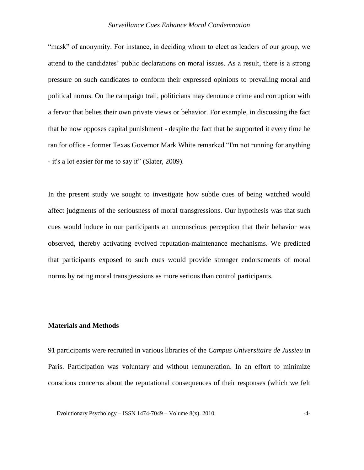#### *Surveillance Cues Enhance Moral Condemnation*

"mask" of anonymity. For instance, in deciding whom to elect as leaders of our group, we attend to the candidates" public declarations on moral issues. As a result, there is a strong pressure on such candidates to conform their expressed opinions to prevailing moral and political norms. On the campaign trail, politicians may denounce crime and corruption with a fervor that belies their own private views or behavior. For example, in discussing the fact that he now opposes capital punishment - despite the fact that he supported it every time he ran for office - former Texas Governor Mark White remarked "I'm not running for anything - it's a lot easier for me to say it" (Slater, 2009).

In the present study we sought to investigate how subtle cues of being watched would affect judgments of the seriousness of moral transgressions. Our hypothesis was that such cues would induce in our participants an unconscious perception that their behavior was observed, thereby activating evolved reputation-maintenance mechanisms. We predicted that participants exposed to such cues would provide stronger endorsements of moral norms by rating moral transgressions as more serious than control participants.

## **Materials and Methods**

91 participants were recruited in various libraries of the *Campus Universitaire de Jussieu* in Paris. Participation was voluntary and without remuneration. In an effort to minimize conscious concerns about the reputational consequences of their responses (which we felt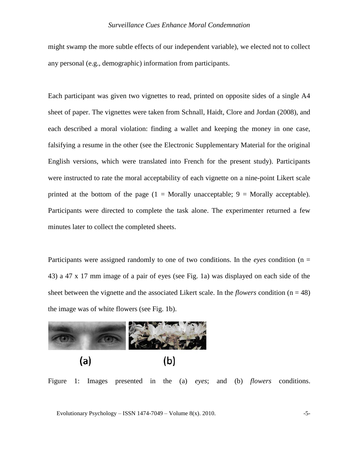might swamp the more subtle effects of our independent variable), we elected not to collect any personal (e.g., demographic) information from participants.

Each participant was given two vignettes to read, printed on opposite sides of a single A4 sheet of paper. The vignettes were taken from Schnall, Haidt, Clore and Jordan (2008), and each described a moral violation: finding a wallet and keeping the money in one case, falsifying a resume in the other (see the Electronic Supplementary Material for the original English versions, which were translated into French for the present study). Participants were instructed to rate the moral acceptability of each vignette on a nine-point Likert scale printed at the bottom of the page  $(1 = \text{Morally unacceptable}; 9 = \text{Morally acceptable}).$ Participants were directed to complete the task alone. The experimenter returned a few minutes later to collect the completed sheets.

Participants were assigned randomly to one of two conditions. In the *eyes* condition (n = 43) a 47 x 17 mm image of a pair of eyes (see Fig. 1a) was displayed on each side of the sheet between the vignette and the associated Likert scale. In the *flowers* condition  $(n = 48)$ the image was of white flowers (see Fig. 1b).



Figure 1: Images presented in the (a) *eyes*; and (b) *flowers* conditions.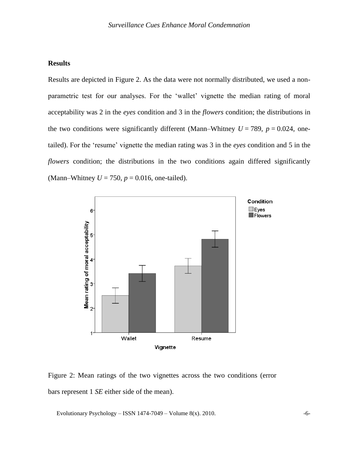## **Results**

Results are depicted in Figure 2. As the data were not normally distributed, we used a nonparametric test for our analyses. For the 'wallet' vignette the median rating of moral acceptability was 2 in the *eyes* condition and 3 in the *flowers* condition; the distributions in the two conditions were significantly different (Mann–Whitney  $U = 789$ ,  $p = 0.024$ , onetailed). For the "resume" vignette the median rating was 3 in the *eyes* condition and 5 in the *flowers* condition; the distributions in the two conditions again differed significantly (Mann–Whitney  $U = 750$ ,  $p = 0.016$ , one-tailed).



Figure 2: Mean ratings of the two vignettes across the two conditions (error bars represent 1 *SE* either side of the mean).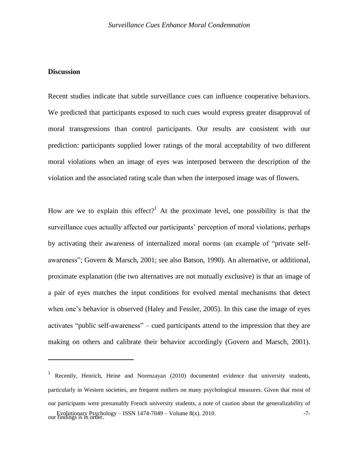## **Discussion**

 $\overline{a}$ 

Recent studies indicate that subtle surveillance cues can influence cooperative behaviors. We predicted that participants exposed to such cues would express greater disapproval of moral transgressions than control participants. Our results are consistent with our prediction: participants supplied lower ratings of the moral acceptability of two different moral violations when an image of eyes was interposed between the description of the violation and the associated rating scale than when the interposed image was of flowers.

How are we to explain this effect?<sup>1</sup> At the proximate level, one possibility is that the surveillance cues actually affected our participants' perception of moral violations, perhaps by activating their awareness of internalized moral norms (an example of "private selfawareness"; Govern & Marsch, 2001; see also Batson, 1990). An alternative, or additional, proximate explanation (the two alternatives are not mutually exclusive) is that an image of a pair of eyes matches the input conditions for evolved mental mechanisms that detect when one"s behavior is observed (Haley and Fessler, 2005). In this case the image of eyes activates "public self-awareness" – cued participants attend to the impression that they are making on others and calibrate their behavior accordingly (Govern and Marsch, 2001).

Evolutionary Psychology – ISSN 1474-7049 – Volume 8(x). 2010.  $-7$ - $\frac{2010}{100}$ <sup>1</sup> Recently, Henrich, Heine and Norenzayan (2010) documented evidence that university students, particularly in Western societies, are frequent outliers on many psychological measures. Given that most of our participants were presumably French university students, a note of caution about the generalizability of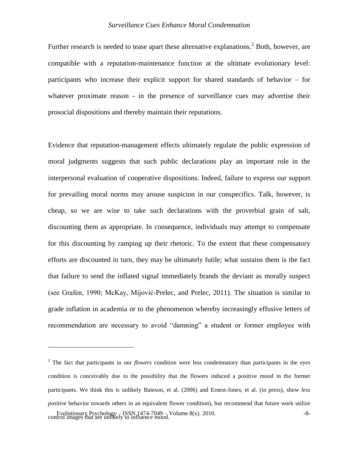Further research is needed to tease apart these alternative explanations.<sup>2</sup> Both, however, are compatible with a reputation-maintenance function at the ultimate evolutionary level: participants who increase their explicit support for shared standards of behavior – for whatever proximate reason - in the presence of surveillance cues may advertise their prosocial dispositions and thereby maintain their reputations.

Evidence that reputation-management effects ultimately regulate the public expression of moral judgments suggests that such public declarations play an important role in the interpersonal evaluation of cooperative dispositions. Indeed, failure to express our support for prevailing moral norms may arouse suspicion in our conspecifics. Talk, however, is cheap, so we are wise to take such declarations with the proverbial grain of salt, discounting them as appropriate. In consequence, individuals may attempt to compensate for this discounting by ramping up their rhetoric. To the extent that these compensatory efforts are discounted in turn, they may be ultimately futile; what sustains them is the fact that failure to send the inflated signal immediately brands the deviant as morally suspect (see Grafen, 1990; McKay, Mijović-Prelec, and Prelec, 2011). The situation is similar to grade inflation in academia or to the phenomenon whereby increasingly effusive letters of recommendation are necessary to avoid "damning" a student or former employee with

 $\overline{a}$ 

Evolutionary Psychology – ISSN 1474-7049 – Volume 8(x). 2010. -  $8-8-$ <sup>2</sup> The fact that participants in our *flowers* condition were less condemnatory than participants in the *eyes* condition is conceivably due to the possibility that the flowers induced a positive mood in the former participants. We think this is unlikely Bateson, et al. (2006) and Ernest-Jones, et al. (in press), show *less positive* behavior towards others in an equivalent flower condition), but recommend that future work utilize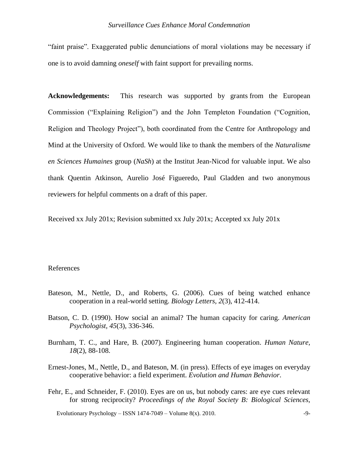"faint praise". Exaggerated public denunciations of moral violations may be necessary if one is to avoid damning *oneself* with faint support for prevailing norms.

**Acknowledgements:** This research was supported by grants from the European Commission ("Explaining Religion") and the John Templeton Foundation ("Cognition, Religion and Theology Project"), both coordinated from the Centre for Anthropology and Mind at the University of Oxford. We would like to thank the members of the *Naturalisme en Sciences Humaines* group (*NaSh*) at the Institut Jean-Nicod for valuable input. We also thank Quentin Atkinson, Aurelio José Figueredo, Paul Gladden and two anonymous reviewers for helpful comments on a draft of this paper.

Received xx July 201x; Revision submitted xx July 201x; Accepted xx July 201x

#### References

- Bateson, M., Nettle, D., and Roberts, G. (2006). Cues of being watched enhance cooperation in a real-world setting. *Biology Letters, 2*(3), 412-414.
- Batson, C. D. (1990). How social an animal? The human capacity for caring. *American Psychologist, 45*(3), 336-346.
- Burnham, T. C., and Hare, B. (2007). Engineering human cooperation. *Human Nature, 18*(2), 88-108.
- Ernest-Jones, M., Nettle, D., and Bateson, M. (in press). Effects of eye images on everyday cooperative behavior: a field experiment. *Evolution and Human Behavior*.
- Fehr, E., and Schneider, F. (2010). Eyes are on us, but nobody cares: are eye cues relevant for strong reciprocity? *Proceedings of the Royal Society B: Biological Sciences,*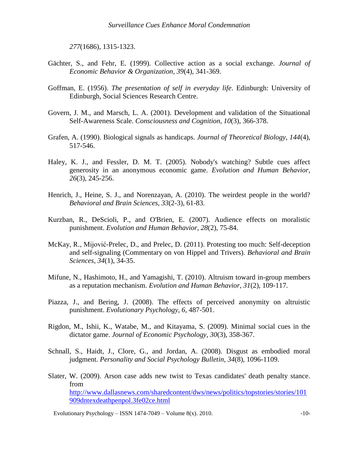*277*(1686), 1315-1323.

- Gächter, S., and Fehr, E. (1999). Collective action as a social exchange. *Journal of Economic Behavior & Organization, 39*(4), 341-369.
- Goffman, E. (1956). *The presentation of self in everyday life*. Edinburgh: University of Edinburgh, Social Sciences Research Centre.
- Govern, J. M., and Marsch, L. A. (2001). Development and validation of the Situational Self-Awareness Scale. *Consciousness and Cognition, 10*(3), 366-378.
- Grafen, A. (1990). Biological signals as handicaps. *Journal of Theoretical Biology, 144*(4), 517-546.
- Haley, K. J., and Fessler, D. M. T. (2005). Nobody's watching? Subtle cues affect generosity in an anonymous economic game. *Evolution and Human Behavior, 26*(3), 245-256.
- Henrich, J., Heine, S. J., and Norenzayan, A. (2010). The weirdest people in the world? *Behavioral and Brain Sciences, 33*(2-3), 61-83.
- Kurzban, R., DeScioli, P., and O'Brien, E. (2007). Audience effects on moralistic punishment. *Evolution and Human Behavior, 28*(2), 75-84.
- McKay, R., Mijović-Prelec, D., and Prelec, D. (2011). Protesting too much: Self-deception and self-signaling (Commentary on von Hippel and Trivers). *Behavioral and Brain Sciences, 34*(1), 34-35.
- Mifune, N., Hashimoto, H., and Yamagishi, T. (2010). Altruism toward in-group members as a reputation mechanism. *Evolution and Human Behavior, 31*(2), 109-117.
- Piazza, J., and Bering, J. (2008). The effects of perceived anonymity on altruistic punishment. *Evolutionary Psychology, 6*, 487-501.
- Rigdon, M., Ishii, K., Watabe, M., and Kitayama, S. (2009). Minimal social cues in the dictator game. *Journal of Economic Psychology, 30*(3), 358-367.
- Schnall, S., Haidt, J., Clore, G., and Jordan, A. (2008). Disgust as embodied moral judgment. *Personality and Social Psychology Bulletin, 34*(8), 1096-1109.
- Slater, W. (2009). Arson case adds new twist to Texas candidates' death penalty stance. from [http://www.dallasnews.com/sharedcontent/dws/news/politics/topstories/stories/101](http://www.dallasnews.com/sharedcontent/dws/news/politics/topstories/stories/101909dntexdeathpenpol.3fe02ce.html) [909dntexdeathpenpol.3fe02ce.html](http://www.dallasnews.com/sharedcontent/dws/news/politics/topstories/stories/101909dntexdeathpenpol.3fe02ce.html)